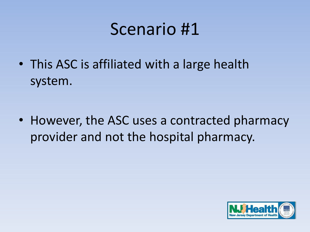• This ASC is affiliated with a large health system.

• However, the ASC uses a contracted pharmacy provider and not the hospital pharmacy.

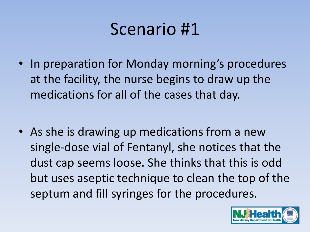• In preparation for Monday morning's procedures at the facility, the nurse begins to draw up the medications for all of the cases that day.

• As she is drawing up medications from a new single-dose vial of Fentanyl, she notices that the dust cap seems loose. She thinks that this is odd but uses aseptic technique to clean the top of the septum and fill syringes for the procedures.

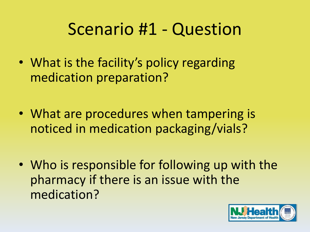- What is the facility's policy regarding medication preparation?
- What are procedures when tampering is noticed in medication packaging/vials?
- Who is responsible for following up with the pharmacy if there is an issue with the medication?

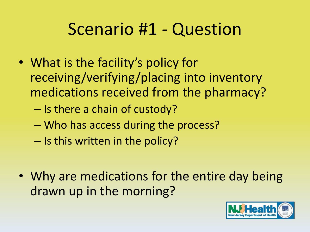- What is the facility's policy for receiving/verifying/placing into inventory medications received from the pharmacy?
	- Is there a chain of custody?
	- Who has access during the process?
	- Is this written in the policy?
- Why are medications for the entire day being drawn up in the morning?

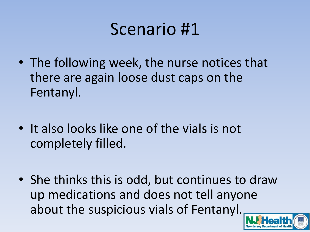- The following week, the nurse notices that there are again loose dust caps on the Fentanyl.
- It also looks like one of the vials is not completely filled.
- She thinks this is odd, but continues to draw up medications and does not tell anyone about the suspicious vials of Fentanyl.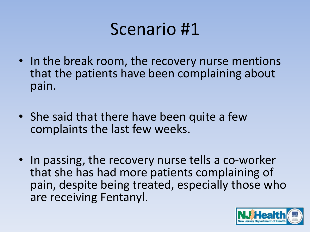- In the break room, the recovery nurse mentions that the patients have been complaining about pain.
- She said that there have been quite a few complaints the last few weeks.
- In passing, the recovery nurse tells a co-worker that she has had more patients complaining of pain, despite being treated, especially those who are receiving Fentanyl.

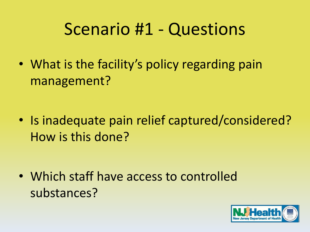• What is the facility's policy regarding pain management?

• Is inadequate pain relief captured/considered? How is this done?

• Which staff have access to controlled substances?

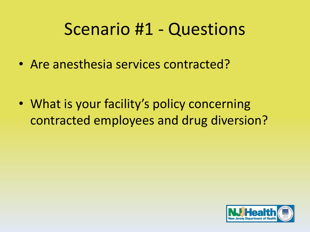• Are anesthesia services contracted?

• What is your facility's policy concerning contracted employees and drug diversion?

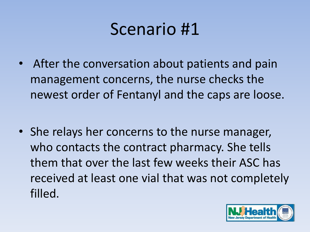After the conversation about patients and pain management concerns, the nurse checks the newest order of Fentanyl and the caps are loose.

• She relays her concerns to the nurse manager, who contacts the contract pharmacy. She tells them that over the last few weeks their ASC has received at least one vial that was not completely filled.

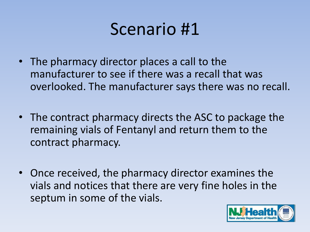- The pharmacy director places a call to the manufacturer to see if there was a recall that was overlooked. The manufacturer says there was no recall.
- The contract pharmacy directs the ASC to package the remaining vials of Fentanyl and return them to the contract pharmacy.
- Once received, the pharmacy director examines the vials and notices that there are very fine holes in the septum in some of the vials.

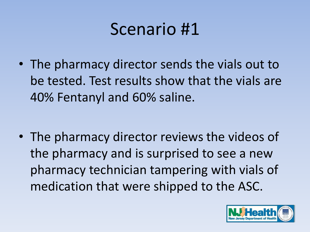• The pharmacy director sends the vials out to be tested. Test results show that the vials are 40% Fentanyl and 60% saline.

• The pharmacy director reviews the videos of the pharmacy and is surprised to see a new pharmacy technician tampering with vials of medication that were shipped to the ASC.

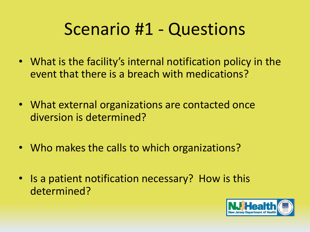- What is the facility's internal notification policy in the event that there is a breach with medications?
- What external organizations are contacted once diversion is determined?
- Who makes the calls to which organizations?
- Is a patient notification necessary? How is this determined?